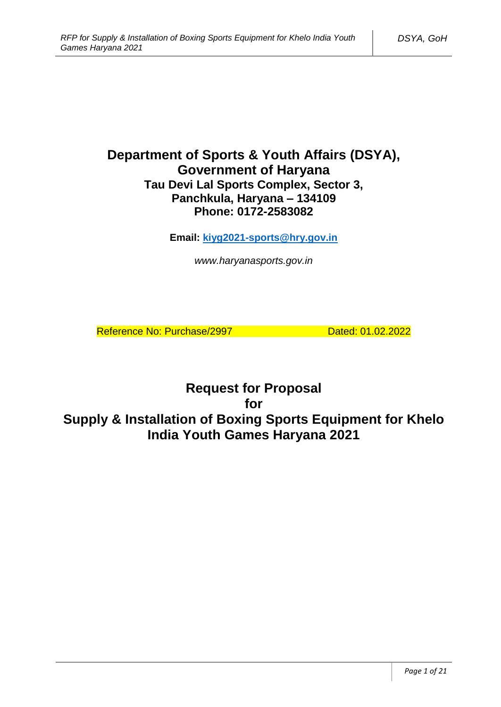# **Department of Sports & Youth Affairs (DSYA), Government of Haryana Tau Devi Lal Sports Complex, Sector 3, Panchkula, Haryana – 134109 Phone: 0172-2583082**

**Email: [kiyg2021-sports@hry.gov.in](mailto:kiyg2021-sports@hry.gov.in)**

*www.haryanasports.gov.in*

Reference No: Purchase/2997 Dated: 01.02.2022

**Request for Proposal for Supply & Installation of Boxing Sports Equipment for Khelo India Youth Games Haryana 2021**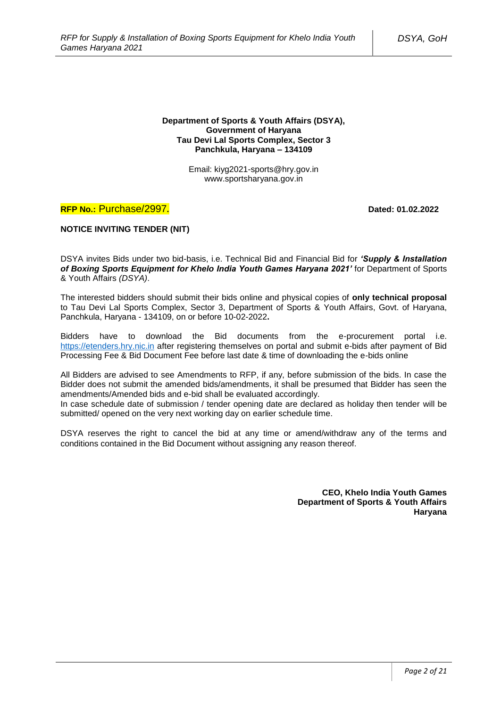#### **Department of Sports & Youth Affairs (DSYA), Government of Haryana Tau Devi Lal Sports Complex, Sector 3 Panchkula, Haryana – 134109**

Email: kiyg2021-sports@hry.gov.in www.sportsharyana.gov.in

### **RFP No.:** Purchase/2997**. Dated: 01.02.2022**

### **NOTICE INVITING TENDER (NIT)**

DSYA invites Bids under two bid-basis, i.e. Technical Bid and Financial Bid for *'Supply & Installation of Boxing Sports Equipment for Khelo India Youth Games Haryana 2021'* for Department of Sports & Youth Affairs *(DSYA)*.

The interested bidders should submit their bids online and physical copies of **only technical proposal** to Tau Devi Lal Sports Complex, Sector 3, Department of Sports & Youth Affairs, Govt. of Haryana, Panchkula, Haryana - 134109, on or before 10-02-2022**.**

Bidders have to download the Bid documents from the e-procurement portal i.e. [https://etenders.hry.nic.in](https://etenders.hry.nic.in/) after registering themselves on portal and submit e-bids after payment of Bid Processing Fee & Bid Document Fee before last date & time of downloading the e-bids online

All Bidders are advised to see Amendments to RFP, if any, before submission of the bids. In case the Bidder does not submit the amended bids/amendments, it shall be presumed that Bidder has seen the amendments/Amended bids and e-bid shall be evaluated accordingly.

In case schedule date of submission / tender opening date are declared as holiday then tender will be submitted/ opened on the very next working day on earlier schedule time.

DSYA reserves the right to cancel the bid at any time or amend/withdraw any of the terms and conditions contained in the Bid Document without assigning any reason thereof.

> **CEO, Khelo India Youth Games Department of Sports & Youth Affairs Haryana**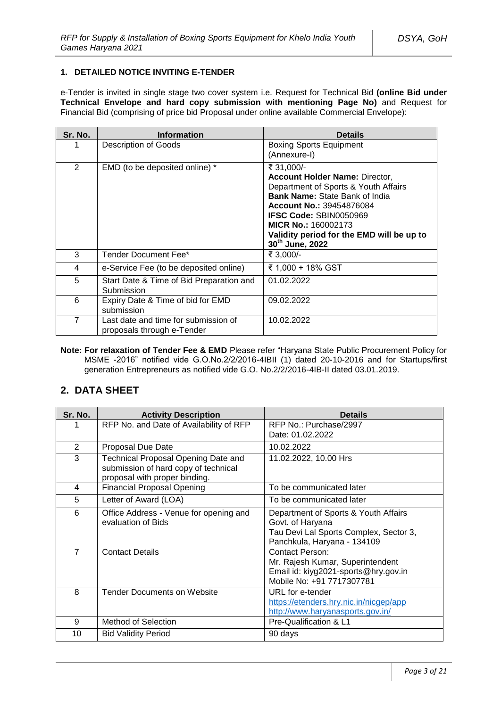### **1. DETAILED NOTICE INVITING E-TENDER**

e-Tender is invited in single stage two cover system i.e. Request for Technical Bid **(online Bid under Technical Envelope and hard copy submission with mentioning Page No)** and Request for Financial Bid (comprising of price bid Proposal under online available Commercial Envelope):

| Sr. No. | <b>Information</b>                                                 | <b>Details</b>                                                                                                                                                                                                                                                                                              |
|---------|--------------------------------------------------------------------|-------------------------------------------------------------------------------------------------------------------------------------------------------------------------------------------------------------------------------------------------------------------------------------------------------------|
|         | <b>Description of Goods</b>                                        | <b>Boxing Sports Equipment</b><br>(Annexure-I)                                                                                                                                                                                                                                                              |
| 2       | EMD (to be deposited online) *                                     | ₹ 31.000/-<br><b>Account Holder Name: Director,</b><br>Department of Sports & Youth Affairs<br><b>Bank Name: State Bank of India</b><br><b>Account No.: 39454876084</b><br><b>IFSC Code: SBIN0050969</b><br>MICR No.: 160002173<br>Validity period for the EMD will be up to<br>30 <sup>th</sup> June, 2022 |
| 3       | Tender Document Fee*                                               | ₹ 3,000/-                                                                                                                                                                                                                                                                                                   |
| 4       | e-Service Fee (to be deposited online)                             | ₹ 1,000 + 18% GST                                                                                                                                                                                                                                                                                           |
| 5       | Start Date & Time of Bid Preparation and<br>Submission             | 01.02.2022                                                                                                                                                                                                                                                                                                  |
| 6       | Expiry Date & Time of bid for EMD<br>submission                    | 09.02.2022                                                                                                                                                                                                                                                                                                  |
| 7       | Last date and time for submission of<br>proposals through e-Tender | 10.02.2022                                                                                                                                                                                                                                                                                                  |

**Note: For relaxation of Tender Fee & EMD** Please refer "Haryana State Public Procurement Policy for MSME -2016" notified vide G.O.No.2/2/2016-4IBII (1) dated 20-10-2016 and for Startups/first generation Entrepreneurs as notified vide G.O. No.2/2/2016-4IB-II dated 03.01.2019.

### **2. DATA SHEET**

| Sr. No.        | <b>Activity Description</b>                                                                                  | <b>Details</b>                                                                                                                    |
|----------------|--------------------------------------------------------------------------------------------------------------|-----------------------------------------------------------------------------------------------------------------------------------|
|                | RFP No. and Date of Availability of RFP                                                                      | RFP No.: Purchase/2997<br>Date: 01.02.2022                                                                                        |
| 2              | Proposal Due Date                                                                                            | 10.02.2022                                                                                                                        |
| 3              | Technical Proposal Opening Date and<br>submission of hard copy of technical<br>proposal with proper binding. | 11.02.2022, 10.00 Hrs                                                                                                             |
| 4              | <b>Financial Proposal Opening</b>                                                                            | To be communicated later                                                                                                          |
| 5              | Letter of Award (LOA)                                                                                        | To be communicated later                                                                                                          |
| 6              | Office Address - Venue for opening and<br>evaluation of Bids                                                 | Department of Sports & Youth Affairs<br>Govt. of Haryana<br>Tau Devi Lal Sports Complex, Sector 3,<br>Panchkula, Haryana - 134109 |
| $\overline{7}$ | <b>Contact Details</b>                                                                                       | <b>Contact Person:</b><br>Mr. Rajesh Kumar, Superintendent<br>Email id: kiyg2021-sports@hry.gov.in<br>Mobile No: +91 7717307781   |
| 8              | <b>Tender Documents on Website</b>                                                                           | URL for e-tender<br>https://etenders.hry.nic.in/nicgep/app<br>http://www.haryanasports.gov.in/                                    |
| 9              | <b>Method of Selection</b>                                                                                   | Pre-Qualification & L1                                                                                                            |
| 10             | <b>Bid Validity Period</b>                                                                                   | 90 days                                                                                                                           |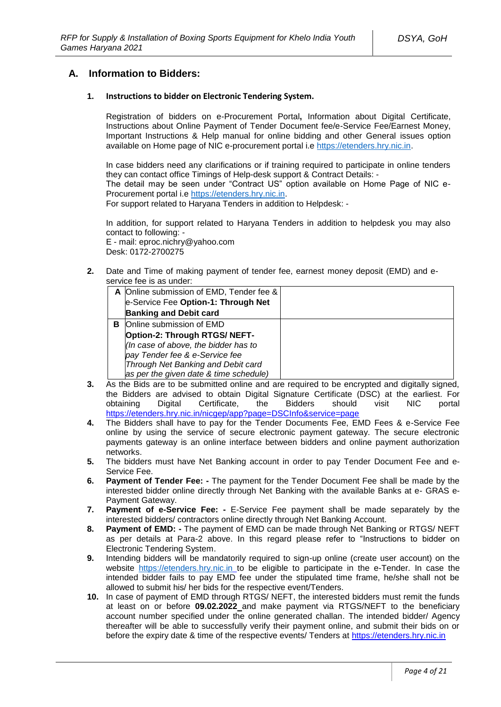### **A. Information to Bidders:**

#### **1. Instructions to bidder on Electronic Tendering System.**

Registration of bidders on e-Procurement Portal**,** Information about Digital Certificate, Instructions about Online Payment of Tender Document fee/e-Service Fee/Earnest Money, Important Instructions & Help manual for online bidding and other General issues option available on Home page of NIC e-procurement portal i.e [https://etenders.hry.nic.in.](https://etenders.hry.nic.in/)

In case bidders need any clarifications or if training required to participate in online tenders they can contact office Timings of Help-desk support & Contract Details: - The detail may be seen under "Contract US" option available on Home Page of NIC e-

Procurement portal i.e [https://etenders.hry.nic.in.](https://etenders.hry.nic.in/) For support related to Haryana Tenders in addition to Helpdesk: -

In addition, for support related to Haryana Tenders in addition to helpdesk you may also contact to following: -

E - mail: eproc.nichry@yahoo.com Desk: 0172-2700275

**2.** Date and Time of making payment of tender fee, earnest money deposit (EMD) and eservice fee is as under:

|   | A Online submission of EMD, Tender fee &<br>e-Service Fee Option-1: Through Net<br><b>Banking and Debit card</b>                                                                                                    |  |
|---|---------------------------------------------------------------------------------------------------------------------------------------------------------------------------------------------------------------------|--|
| в | Online submission of EMD<br>Option-2: Through RTGS/ NEFT-<br>(In case of above, the bidder has to<br>pay Tender fee & e-Service fee<br>Through Net Banking and Debit card<br>as per the given date & time schedule) |  |

- **3.** As the Bids are to be submitted online and are required to be encrypted and digitally signed, the Bidders are advised to obtain Digital Signature Certificate (DSC) at the earliest. For Digital Certificate, the Bidders should visit NIC portal https://etenders.hry.nic.in/nicgep/app?page=DSCInfo&service=page
- **4.** The Bidders shall have to pay for the Tender Documents Fee, EMD Fees & e-Service Fee online by using the service of secure electronic payment gateway. The secure electronic payments gateway is an online interface between bidders and online payment authorization networks.
- **5.** The bidders must have Net Banking account in order to pay Tender Document Fee and e-Service Fee.
- **6. Payment of Tender Fee: -** The payment for the Tender Document Fee shall be made by the interested bidder online directly through Net Banking with the available Banks at e- GRAS e-Payment Gateway.
- **7. Payment of e-Service Fee: -** E-Service Fee payment shall be made separately by the interested bidders/ contractors online directly through Net Banking Account.
- **8. Payment of EMD: -** The payment of EMD can be made through Net Banking or RTGS/ NEFT as per details at Para-2 above. In this regard please refer to "Instructions to bidder on Electronic Tendering System.
- **9.** Intending bidders will be mandatorily required to sign-up online (create user account) on the website [https://etenders.hry.nic.in](https://etenders.hry.nic.in/) to be eligible to participate in the e-Tender. In case the intended bidder fails to pay EMD fee under the stipulated time frame, he/she shall not be allowed to submit his/ her bids for the respective event/Tenders.
- **10.** In case of payment of EMD through RTGS/ NEFT, the interested bidders must remit the funds at least on or before **09.02.2022** and make payment via RTGS/NEFT to the beneficiary account number specified under the online generated challan. The intended bidder/ Agency thereafter will be able to successfully verify their payment online, and submit their bids on or before the expiry date & time of the respective events/ Tenders at https://etenders.hry.nic.in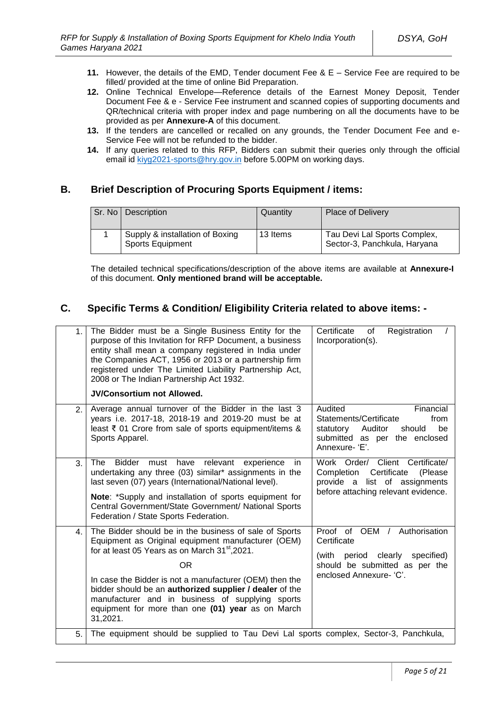- **11.** However, the details of the EMD, Tender document Fee & E Service Fee are required to be filled/ provided at the time of online Bid Preparation.
- **12.** Online Technical Envelope—Reference details of the Earnest Money Deposit, Tender Document Fee & e - Service Fee instrument and scanned copies of supporting documents and QR/technical criteria with proper index and page numbering on all the documents have to be provided as per **Annexure-A** of this document.
- **13.** If the tenders are cancelled or recalled on any grounds, the Tender Document Fee and e-Service Fee will not be refunded to the bidder.
- **14.** If any queries related to this RFP, Bidders can submit their queries only through the official email id [kiyg2021-sports@hry.gov.in](mailto:kiyg2021-sports@hry.gov.in) before 5.00PM on working days.

# **B. Brief Description of Procuring Sports Equipment / items:**

| Sr. No L | Description                                                | Quantity | <b>Place of Delivery</b>                                     |
|----------|------------------------------------------------------------|----------|--------------------------------------------------------------|
|          | Supply & installation of Boxing<br><b>Sports Equipment</b> | 13 Items | Tau Devi Lal Sports Complex,<br>Sector-3, Panchkula, Haryana |

The detailed technical specifications/description of the above items are available at **Annexure-I** of this document. **Only mentioned brand will be acceptable.**

# **C. Specific Terms & Condition/ Eligibility Criteria related to above items: -**

| 1.             | The Bidder must be a Single Business Entity for the<br>purpose of this Invitation for RFP Document, a business<br>entity shall mean a company registered in India under<br>the Companies ACT, 1956 or 2013 or a partnership firm<br>registered under The Limited Liability Partnership Act,<br>2008 or The Indian Partnership Act 1932.<br><b>JV/Consortium not Allowed.</b>                                                | Certificate<br>Registration<br>of<br>Incorporation(s).                                                                                              |
|----------------|-----------------------------------------------------------------------------------------------------------------------------------------------------------------------------------------------------------------------------------------------------------------------------------------------------------------------------------------------------------------------------------------------------------------------------|-----------------------------------------------------------------------------------------------------------------------------------------------------|
| $\mathbf{2}$ . | Average annual turnover of the Bidder in the last 3<br>years i.e. 2017-18, 2018-19 and 2019-20 must be at<br>least ₹ 01 Crore from sale of sports equipment/items &<br>Sports Apparel.                                                                                                                                                                                                                                      | Audited<br>Financial<br>Statements/Certificate<br>from<br>statutory<br>Auditor<br>should<br>be<br>submitted as per the enclosed<br>Annexure- 'E'.   |
| 3.             | The<br>Bidder<br>have<br>relevant<br>experience<br>must<br>in.<br>undertaking any three (03) similar* assignments in the<br>last seven (07) years (International/National level).<br>Note: *Supply and installation of sports equipment for<br>Central Government/State Government/ National Sports<br>Federation / State Sports Federation.                                                                                | Client Certificate/<br>Work Order/<br>Certificate<br>Completion<br>(Please)<br>provide a list of assignments<br>before attaching relevant evidence. |
| 4.             | The Bidder should be in the business of sale of Sports<br>Equipment as Original equipment manufacturer (OEM)<br>for at least 05 Years as on March 31 <sup>st</sup> , 2021.<br>0R<br>In case the Bidder is not a manufacturer (OEM) then the<br>bidder should be an authorized supplier / dealer of the<br>manufacturer and in business of supplying sports<br>equipment for more than one (01) year as on March<br>31,2021. | Proof of OEM /<br>Authorisation<br>Certificate<br>(with period clearly<br>specified)<br>should be submitted as per the<br>enclosed Annexure- 'C'.   |
| 5.             | The equipment should be supplied to Tau Devi Lal sports complex, Sector-3, Panchkula,                                                                                                                                                                                                                                                                                                                                       |                                                                                                                                                     |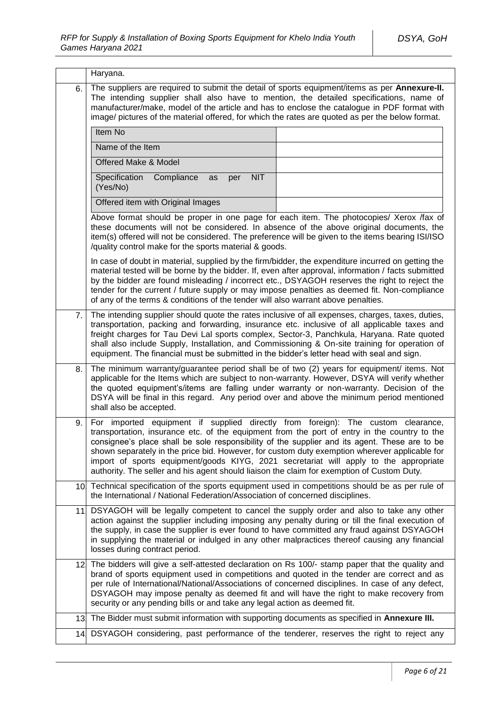|     | Haryana.                                                                                                                                                                                                                                                                                                                                                                                                                                                                                                                                                                  |  |  |
|-----|---------------------------------------------------------------------------------------------------------------------------------------------------------------------------------------------------------------------------------------------------------------------------------------------------------------------------------------------------------------------------------------------------------------------------------------------------------------------------------------------------------------------------------------------------------------------------|--|--|
| 6.  | The suppliers are required to submit the detail of sports equipment/items as per Annexure-II.<br>The intending supplier shall also have to mention, the detailed specifications, name of<br>manufacturer/make, model of the article and has to enclose the catalogue in PDF format with<br>image/ pictures of the material offered, for which the rates are quoted as per the below format.                                                                                                                                                                               |  |  |
|     | Item No                                                                                                                                                                                                                                                                                                                                                                                                                                                                                                                                                                   |  |  |
|     | Name of the Item                                                                                                                                                                                                                                                                                                                                                                                                                                                                                                                                                          |  |  |
|     | Offered Make & Model                                                                                                                                                                                                                                                                                                                                                                                                                                                                                                                                                      |  |  |
|     | Specification<br>Compliance<br><b>NIT</b><br>per<br>as<br>(Yes/No)                                                                                                                                                                                                                                                                                                                                                                                                                                                                                                        |  |  |
|     | Offered item with Original Images                                                                                                                                                                                                                                                                                                                                                                                                                                                                                                                                         |  |  |
|     | Above format should be proper in one page for each item. The photocopies/ Xerox /fax of<br>these documents will not be considered. In absence of the above original documents, the<br>item(s) offered will not be considered. The preference will be given to the items bearing ISI/ISO<br>/quality control make for the sports material & goods.                                                                                                                                                                                                                         |  |  |
|     | In case of doubt in material, supplied by the firm/bidder, the expenditure incurred on getting the<br>material tested will be borne by the bidder. If, even after approval, information / facts submitted<br>by the bidder are found misleading / incorrect etc., DSYAGOH reserves the right to reject the<br>tender for the current / future supply or may impose penalties as deemed fit. Non-compliance<br>of any of the terms & conditions of the tender will also warrant above penalties.                                                                           |  |  |
| 7.  | The intending supplier should quote the rates inclusive of all expenses, charges, taxes, duties,<br>transportation, packing and forwarding, insurance etc. inclusive of all applicable taxes and<br>freight charges for Tau Devi Lal sports complex, Sector-3, Panchkula, Haryana. Rate quoted<br>shall also include Supply, Installation, and Commissioning & On-site training for operation of<br>equipment. The financial must be submitted in the bidder's letter head with seal and sign.                                                                            |  |  |
| 8.  | The minimum warranty/guarantee period shall be of two (2) years for equipment/ items. Not<br>applicable for the Items which are subject to non-warranty. However, DSYA will verify whether<br>the quoted equipment's/items are falling under warranty or non-warranty. Decision of the<br>DSYA will be final in this regard. Any period over and above the minimum period mentioned<br>shall also be accepted.                                                                                                                                                            |  |  |
| 9.  | For imported equipment if supplied directly from foreign): The custom clearance,<br>transportation, insurance etc. of the equipment from the port of entry in the country to the<br>consignee's place shall be sole responsibility of the supplier and its agent. These are to be<br>shown separately in the price bid. However, for custom duty exemption wherever applicable for<br>import of sports equipment/goods KIYG, 2021 secretariat will apply to the appropriate<br>authority. The seller and his agent should liaison the claim for exemption of Custom Duty. |  |  |
|     | 10. Technical specification of the sports equipment used in competitions should be as per rule of<br>the International / National Federation/Association of concerned disciplines.                                                                                                                                                                                                                                                                                                                                                                                        |  |  |
| 11. | DSYAGOH will be legally competent to cancel the supply order and also to take any other<br>action against the supplier including imposing any penalty during or till the final execution of<br>the supply, in case the supplier is ever found to have committed any fraud against DSYAGOH<br>in supplying the material or indulged in any other malpractices thereof causing any financial<br>losses during contract period.                                                                                                                                              |  |  |
| 12. | The bidders will give a self-attested declaration on Rs 100/- stamp paper that the quality and<br>brand of sports equipment used in competitions and quoted in the tender are correct and as<br>per rule of International/National/Associations of concerned disciplines. In case of any defect,<br>DSYAGOH may impose penalty as deemed fit and will have the right to make recovery from<br>security or any pending bills or and take any legal action as deemed fit.                                                                                                   |  |  |
|     | 13. The Bidder must submit information with supporting documents as specified in Annexure III.                                                                                                                                                                                                                                                                                                                                                                                                                                                                            |  |  |
|     | 14. DSYAGOH considering, past performance of the tenderer, reserves the right to reject any                                                                                                                                                                                                                                                                                                                                                                                                                                                                               |  |  |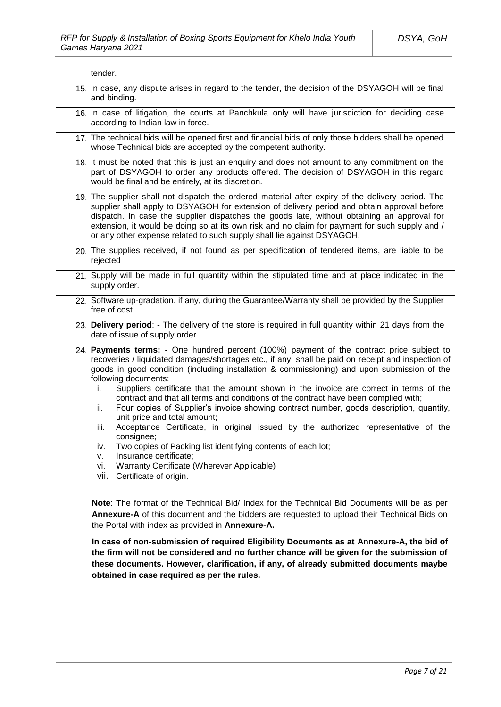|     | tender.                                                                                                                                                                                                                                                                                                                                                                                                                                                                                                                                                                                                                                                                                                                                                                                                                                                                                                                                               |  |
|-----|-------------------------------------------------------------------------------------------------------------------------------------------------------------------------------------------------------------------------------------------------------------------------------------------------------------------------------------------------------------------------------------------------------------------------------------------------------------------------------------------------------------------------------------------------------------------------------------------------------------------------------------------------------------------------------------------------------------------------------------------------------------------------------------------------------------------------------------------------------------------------------------------------------------------------------------------------------|--|
| 15. | In case, any dispute arises in regard to the tender, the decision of the DSYAGOH will be final<br>and binding.                                                                                                                                                                                                                                                                                                                                                                                                                                                                                                                                                                                                                                                                                                                                                                                                                                        |  |
| 16. | In case of litigation, the courts at Panchkula only will have jurisdiction for deciding case<br>according to Indian law in force.                                                                                                                                                                                                                                                                                                                                                                                                                                                                                                                                                                                                                                                                                                                                                                                                                     |  |
| 17. | The technical bids will be opened first and financial bids of only those bidders shall be opened<br>whose Technical bids are accepted by the competent authority.                                                                                                                                                                                                                                                                                                                                                                                                                                                                                                                                                                                                                                                                                                                                                                                     |  |
| 18. | It must be noted that this is just an enquiry and does not amount to any commitment on the<br>part of DSYAGOH to order any products offered. The decision of DSYAGOH in this regard<br>would be final and be entirely, at its discretion.                                                                                                                                                                                                                                                                                                                                                                                                                                                                                                                                                                                                                                                                                                             |  |
|     | 19. The supplier shall not dispatch the ordered material after expiry of the delivery period. The<br>supplier shall apply to DSYAGOH for extension of delivery period and obtain approval before<br>dispatch. In case the supplier dispatches the goods late, without obtaining an approval for<br>extension, it would be doing so at its own risk and no claim for payment for such supply and /<br>or any other expense related to such supply shall lie against DSYAGOH.                                                                                                                                                                                                                                                                                                                                                                                                                                                                           |  |
|     | 20 The supplies received, if not found as per specification of tendered items, are liable to be<br>rejected                                                                                                                                                                                                                                                                                                                                                                                                                                                                                                                                                                                                                                                                                                                                                                                                                                           |  |
| 21. | Supply will be made in full quantity within the stipulated time and at place indicated in the<br>supply order.                                                                                                                                                                                                                                                                                                                                                                                                                                                                                                                                                                                                                                                                                                                                                                                                                                        |  |
|     | 22 Software up-gradation, if any, during the Guarantee/Warranty shall be provided by the Supplier<br>free of cost.                                                                                                                                                                                                                                                                                                                                                                                                                                                                                                                                                                                                                                                                                                                                                                                                                                    |  |
| 23. | Delivery period: - The delivery of the store is required in full quantity within 21 days from the<br>date of issue of supply order.                                                                                                                                                                                                                                                                                                                                                                                                                                                                                                                                                                                                                                                                                                                                                                                                                   |  |
| 24. | Payments terms: - One hundred percent (100%) payment of the contract price subject to<br>recoveries / liquidated damages/shortages etc., if any, shall be paid on receipt and inspection of<br>goods in good condition (including installation & commissioning) and upon submission of the<br>following documents:<br>Suppliers certificate that the amount shown in the invoice are correct in terms of the<br>i.<br>contract and that all terms and conditions of the contract have been complied with;<br>Four copies of Supplier's invoice showing contract number, goods description, quantity,<br>ii.<br>unit price and total amount;<br>Acceptance Certificate, in original issued by the authorized representative of the<br>iii.<br>consignee;<br>Two copies of Packing list identifying contents of each lot;<br>iv.<br>Insurance certificate;<br>v.<br>Warranty Certificate (Wherever Applicable)<br>vi.<br>vii.<br>Certificate of origin. |  |

**Note**: The format of the Technical Bid/ Index for the Technical Bid Documents will be as per **Annexure-A** of this document and the bidders are requested to upload their Technical Bids on the Portal with index as provided in **Annexure-A.**

**In case of non-submission of required Eligibility Documents as at Annexure-A, the bid of the firm will not be considered and no further chance will be given for the submission of these documents. However, clarification, if any, of already submitted documents maybe obtained in case required as per the rules.**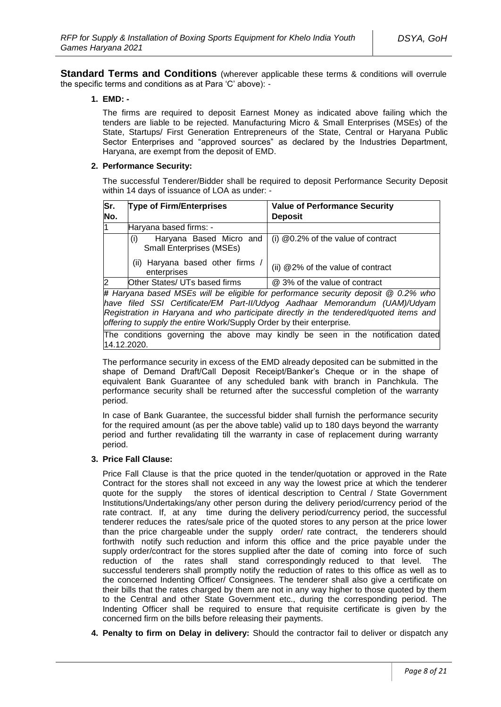**Standard Terms and Conditions** (wherever applicable these terms & conditions will overrule the specific terms and conditions as at Para 'C' above): -

#### **1. EMD: -**

The firms are required to deposit Earnest Money as indicated above failing which the tenders are liable to be rejected. Manufacturing Micro & Small Enterprises (MSEs) of the State, Startups/ First Generation Entrepreneurs of the State, Central or Haryana Public Sector Enterprises and "approved sources" as declared by the Industries Department, Haryana, are exempt from the deposit of EMD.

#### **2. Performance Security:**

The successful Tenderer/Bidder shall be required to deposit Performance Security Deposit within 14 days of issuance of LOA as under: -

| Sr.           | <b>Type of Firm/Enterprises</b>                 | <b>Value of Performance Security</b>                                              |  |  |
|---------------|-------------------------------------------------|-----------------------------------------------------------------------------------|--|--|
| No.           |                                                 | <b>Deposit</b>                                                                    |  |  |
| l1            | Haryana based firms: -                          |                                                                                   |  |  |
|               | (i)<br><b>Small Enterprises (MSEs)</b>          | Haryana Based Micro and $\vert$ (i) @0.2% of the value of contract                |  |  |
|               | (ii) Haryana based other firms /<br>enterprises | (ii) @2% of the value of contract                                                 |  |  |
| $\mathcal{D}$ | Other States/ UTs based firms                   | @ 3% of the value of contract                                                     |  |  |
|               |                                                 | # Haryana based MSEs will be eligible for performance security deposit @ 0.2% who |  |  |
|               |                                                 | have filed SSI Certificate/EM Part-II/Udyog Aadhaar Memorandum (UAM)/Udyam        |  |  |

*Registration in Haryana and who participate directly in the tendered/quoted items and offering to supply the entire* Work/Supply Order by their enterprise*.*

The conditions governing the above may kindly be seen in the notification dated 14.12.2020.

The performance security in excess of the EMD already deposited can be submitted in the shape of Demand Draft/Call Deposit Receipt/Banker's Cheque or in the shape of equivalent Bank Guarantee of any scheduled bank with branch in Panchkula. The performance security shall be returned after the successful completion of the warranty period.

In case of Bank Guarantee, the successful bidder shall furnish the performance security for the required amount (as per the above table) valid up to 180 days beyond the warranty period and further revalidating till the warranty in case of replacement during warranty period.

### **3. Price Fall Clause:**

Price Fall Clause is that the price quoted in the tender/quotation or approved in the Rate Contract for the stores shall not exceed in any way the lowest price at which the tenderer quote for the supply the stores of identical description to Central / State Government Institutions/Undertakings/any other person during the delivery period/currency period of the rate contract. If, at any time during the delivery period/currency period, the successful tenderer reduces the rates/sale price of the quoted stores to any person at the price lower than the price chargeable under the supply order/ rate contract, the tenderers should forthwith notify such reduction and inform this office and the price payable under the supply order/contract for the stores supplied after the date of coming into force of such reduction of the rates shall stand correspondingly reduced to that level. The successful tenderers shall promptly notify the reduction of rates to this office as well as to the concerned Indenting Officer/ Consignees. The tenderer shall also give a certificate on their bills that the rates charged by them are not in any way higher to those quoted by them to the Central and other State Government etc., during the corresponding period. The Indenting Officer shall be required to ensure that requisite certificate is given by the concerned firm on the bills before releasing their payments.

**4. Penalty to firm on Delay in delivery:** Should the contractor fail to deliver or dispatch any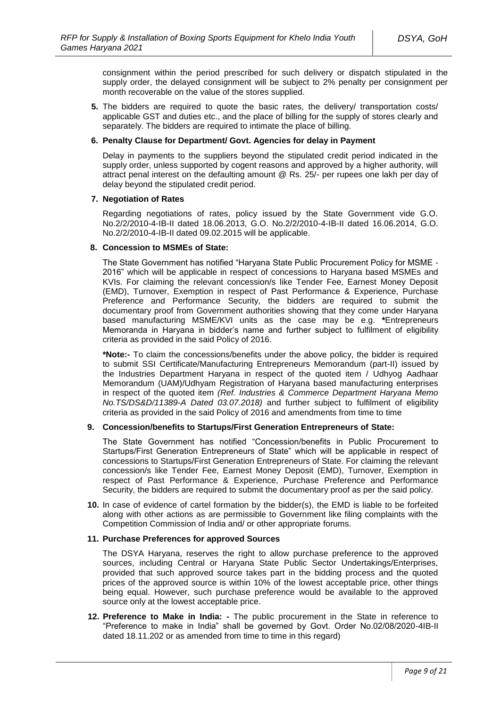consignment within the period prescribed for such delivery or dispatch stipulated in the supply order, the delayed consignment will be subject to 2% penalty per consignment per month recoverable on the value of the stores supplied.

**5.** The bidders are required to quote the basic rates, the delivery/ transportation costs/ applicable GST and duties etc., and the place of billing for the supply of stores clearly and separately. The bidders are required to intimate the place of billing.

#### **6. Penalty Clause for Department/ Govt. Agencies for delay in Payment**

Delay in payments to the suppliers beyond the stipulated credit period indicated in the supply order, unless supported by cogent reasons and approved by a higher authority, will attract penal interest on the defaulting amount @ Rs. 25/- per rupees one lakh per day of delay beyond the stipulated credit period.

#### **7. Negotiation of Rates**

Regarding negotiations of rates, policy issued by the State Government vide G.O. No.2/2/2010-4-IB-II dated 18.06.2013, G.O. No.2/2/2010-4-IB-II dated 16.06.2014, G.O. No.2/2/2010-4-IB-II dated 09.02.2015 will be applicable.

#### **8. Concession to MSMEs of State:**

The State Government has notified "Haryana State Public Procurement Policy for MSME - 2016" which will be applicable in respect of concessions to Haryana based MSMEs and KVIs. For claiming the relevant concession/s like Tender Fee, Earnest Money Deposit (EMD), Turnover, Exemption in respect of Past Performance & Experience, Purchase Preference and Performance Security, the bidders are required to submit the documentary proof from Government authorities showing that they come under Haryana based manufacturing MSME/KVI units as the case may be e.g. **\***Entrepreneurs Memoranda in Haryana in bidder's name and further subject to fulfilment of eligibility criteria as provided in the said Policy of 2016.

**\*Note:-** To claim the concessions/benefits under the above policy, the bidder is required to submit SSI Certificate/Manufacturing Entrepreneurs Memorandum (part-II) issued by the Industries Department Haryana in respect of the quoted item / Udhyog Aadhaar Memorandum (UAM)/Udhyam Registration of Haryana based manufacturing enterprises in respect of the quoted item *(Ref. Industries & Commerce Department Haryana Memo No.TS/DS&D/11389-A Dated 03.07.2018)* and further subject to fulfilment of eligibility criteria as provided in the said Policy of 2016 and amendments from time to time

#### **9. Concession/benefits to Startups/First Generation Entrepreneurs of State:**

The State Government has notified "Concession/benefits in Public Procurement to Startups/First Generation Entrepreneurs of State" which will be applicable in respect of concessions to Startups/First Generation Entrepreneurs of State. For claiming the relevant concession/s like Tender Fee, Earnest Money Deposit (EMD), Turnover, Exemption in respect of Past Performance & Experience, Purchase Preference and Performance Security, the bidders are required to submit the documentary proof as per the said policy.

**10.** In case of evidence of cartel formation by the bidder(s), the EMD is liable to be forfeited along with other actions as are permissible to Government like filing complaints with the Competition Commission of India and/ or other appropriate forums.

#### **11. Purchase Preferences for approved Sources**

The DSYA Haryana, reserves the right to allow purchase preference to the approved sources, including Central or Haryana State Public Sector Undertakings/Enterprises, provided that such approved source takes part in the bidding process and the quoted prices of the approved source is within 10% of the lowest acceptable price, other things being equal. However, such purchase preference would be available to the approved source only at the lowest acceptable price.

**12. Preference to Make in India: -** The public procurement in the State in reference to "Preference to make in India" shall be governed by Govt. Order No.02/08/2020-4IB-II dated 18.11.202 or as amended from time to time in this regard)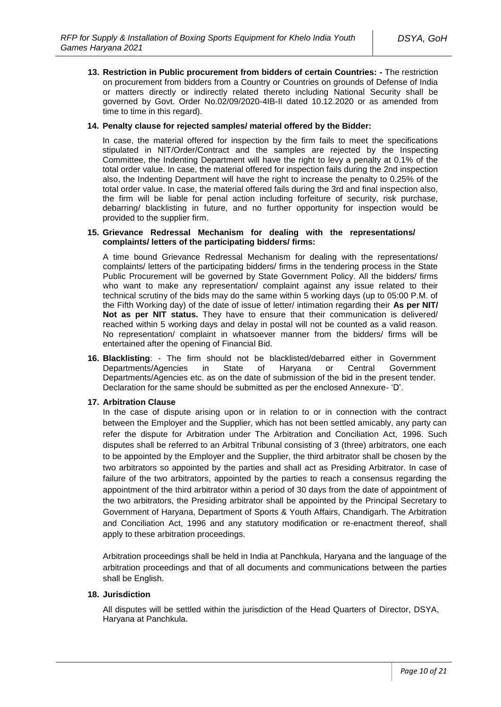**13. Restriction in Public procurement from bidders of certain Countries: -** The restriction on procurement from bidders from a Country or Countries on grounds of Defense of India or matters directly or indirectly related thereto including National Security shall be governed by Govt. Order No.02/09/2020-4IB-II dated 10.12.2020 or as amended from time to time in this regard).

#### **14. Penalty clause for rejected samples/ material offered by the Bidder:**

In case, the material offered for inspection by the firm fails to meet the specifications stipulated in NIT/Order/Contract and the samples are rejected by the Inspecting Committee, the Indenting Department will have the right to levy a penalty at 0.1% of the total order value. In case, the material offered for inspection fails during the 2nd inspection also, the Indenting Department will have the right to increase the penalty to 0.25% of the total order value. In case, the material offered fails during the 3rd and final inspection also, the firm will be liable for penal action including forfeiture of security, risk purchase, debarring/ blacklisting in future, and no further opportunity for inspection would be provided to the supplier firm.

#### **15. Grievance Redressal Mechanism for dealing with the representations/ complaints/ letters of the participating bidders/ firms:**

A time bound Grievance Redressal Mechanism for dealing with the representations/ complaints/ letters of the participating bidders/ firms in the tendering process in the State Public Procurement will be governed by State Government Policy. All the bidders/ firms who want to make any representation/ complaint against any issue related to their technical scrutiny of the bids may do the same within 5 working days (up to 05:00 P.M. of the Fifth Working day) of the date of issue of letter/ intimation regarding their **As per NIT/ Not as per NIT status.** They have to ensure that their communication is delivered/ reached within 5 working days and delay in postal will not be counted as a valid reason. No representation/ complaint in whatsoever manner from the bidders/ firms will be entertained after the opening of Financial Bid.

**16. Blacklisting**: - The firm should not be blacklisted/debarred either in Government Departments/Agencies in State of Haryana or Central Government Departments/Agencies etc. as on the date of submission of the bid in the present tender. Declaration for the same should be submitted as per the enclosed Annexure- 'D'.

### **17. Arbitration Clause**

In the case of dispute arising upon or in relation to or in connection with the contract between the Employer and the Supplier, which has not been settled amicably, any party can refer the dispute for Arbitration under The Arbitration and Conciliation Act, 1996. Such disputes shall be referred to an Arbitral Tribunal consisting of 3 (three) arbitrators, one each to be appointed by the Employer and the Supplier, the third arbitrator shall be chosen by the two arbitrators so appointed by the parties and shall act as Presiding Arbitrator. In case of failure of the two arbitrators, appointed by the parties to reach a consensus regarding the appointment of the third arbitrator within a period of 30 days from the date of appointment of the two arbitrators, the Presiding arbitrator shall be appointed by the Principal Secretary to Government of Haryana, Department of Sports & Youth Affairs, Chandigarh. The Arbitration and Conciliation Act, 1996 and any statutory modification or re-enactment thereof, shall apply to these arbitration proceedings.

Arbitration proceedings shall be held in India at Panchkula, Haryana and the language of the arbitration proceedings and that of all documents and communications between the parties shall be English.

#### **18. Jurisdiction**

All disputes will be settled within the jurisdiction of the Head Quarters of Director, DSYA, Haryana at Panchkula.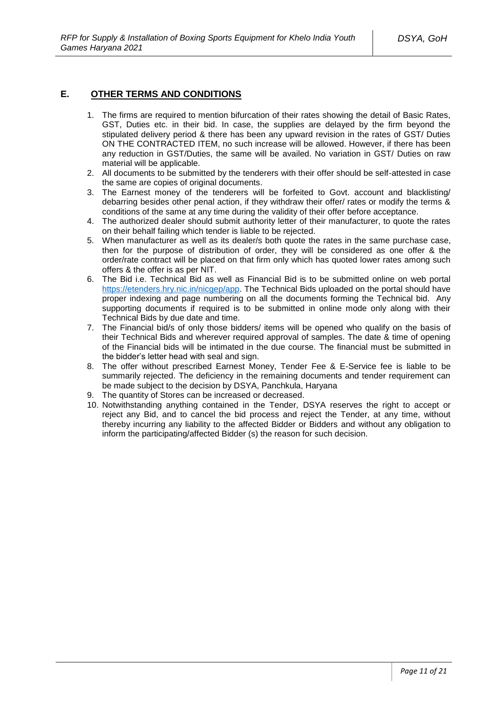### **E. OTHER TERMS AND CONDITIONS**

- 1. The firms are required to mention bifurcation of their rates showing the detail of Basic Rates, GST, Duties etc. in their bid. In case, the supplies are delayed by the firm beyond the stipulated delivery period & there has been any upward revision in the rates of GST/ Duties ON THE CONTRACTED ITEM, no such increase will be allowed. However, if there has been any reduction in GST/Duties, the same will be availed. No variation in GST/ Duties on raw material will be applicable.
- 2. All documents to be submitted by the tenderers with their offer should be self-attested in case the same are copies of original documents.
- 3. The Earnest money of the tenderers will be forfeited to Govt. account and blacklisting/ debarring besides other penal action, if they withdraw their offer/ rates or modify the terms & conditions of the same at any time during the validity of their offer before acceptance.
- 4. The authorized dealer should submit authority letter of their manufacturer, to quote the rates on their behalf failing which tender is liable to be rejected.
- 5. When manufacturer as well as its dealer/s both quote the rates in the same purchase case, then for the purpose of distribution of order, they will be considered as one offer & the order/rate contract will be placed on that firm only which has quoted lower rates among such offers & the offer is as per NIT.
- 6. The Bid i.e. Technical Bid as well as Financial Bid is to be submitted online on web portal [https://etenders.hry.nic.in/nicgep/app.](https://etenders.hry.nic.in/nicgep/app) The Technical Bids uploaded on the portal should have proper indexing and page numbering on all the documents forming the Technical bid. Any supporting documents if required is to be submitted in online mode only along with their Technical Bids by due date and time.
- 7. The Financial bid/s of only those bidders/ items will be opened who qualify on the basis of their Technical Bids and wherever required approval of samples. The date & time of opening of the Financial bids will be intimated in the due course. The financial must be submitted in the bidder's letter head with seal and sign.
- 8. The offer without prescribed Earnest Money, Tender Fee & E-Service fee is liable to be summarily rejected. The deficiency in the remaining documents and tender requirement can be made subject to the decision by DSYA, Panchkula, Haryana
- 9. The quantity of Stores can be increased or decreased.
- 10. Notwithstanding anything contained in the Tender, DSYA reserves the right to accept or reject any Bid, and to cancel the bid process and reject the Tender, at any time, without thereby incurring any liability to the affected Bidder or Bidders and without any obligation to inform the participating/affected Bidder (s) the reason for such decision.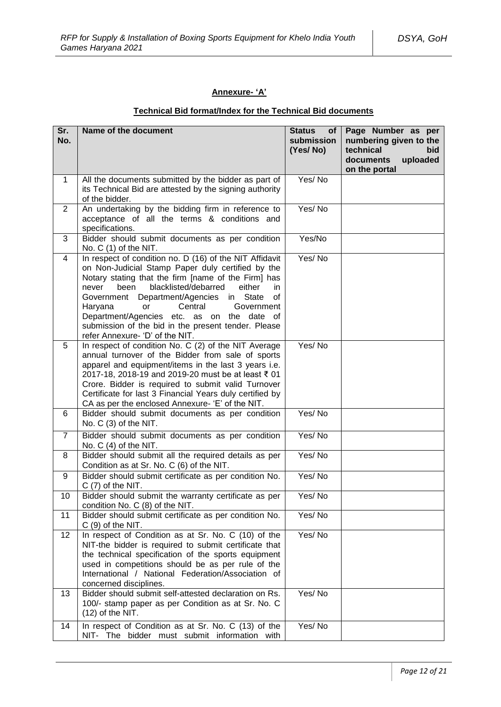### **Annexure- 'A'**

# **Technical Bid format/Index for the Technical Bid documents**

| Sr.<br>No.     | Name of the document                                                                                                                                                                                                                                                                                                                                                                                                                                                   | <b>Status</b><br>of<br>submission<br>(Yes/No) | Page Number as per<br>numbering given to the<br>technical<br><b>bid</b><br>documents<br>uploaded<br>on the portal |
|----------------|------------------------------------------------------------------------------------------------------------------------------------------------------------------------------------------------------------------------------------------------------------------------------------------------------------------------------------------------------------------------------------------------------------------------------------------------------------------------|-----------------------------------------------|-------------------------------------------------------------------------------------------------------------------|
| $\mathbf 1$    | All the documents submitted by the bidder as part of<br>its Technical Bid are attested by the signing authority<br>of the bidder.                                                                                                                                                                                                                                                                                                                                      | Yes/No                                        |                                                                                                                   |
| $\overline{2}$ | An undertaking by the bidding firm in reference to<br>acceptance of all the terms & conditions and<br>specifications.                                                                                                                                                                                                                                                                                                                                                  | Yes/No                                        |                                                                                                                   |
| 3              | Bidder should submit documents as per condition<br>No. C (1) of the NIT.                                                                                                                                                                                                                                                                                                                                                                                               | Yes/No                                        |                                                                                                                   |
| 4              | In respect of condition no. D (16) of the NIT Affidavit<br>on Non-Judicial Stamp Paper duly certified by the<br>Notary stating that the firm [name of the Firm] has<br>blacklisted/debarred<br>either<br>been<br>in.<br>never<br>in State<br>Department/Agencies<br>of<br>Government<br>Central<br>Government<br>Haryana<br>or<br>Department/Agencies etc. as on the date of<br>submission of the bid in the present tender. Please<br>refer Annexure- 'D' of the NIT. | Yes/No                                        |                                                                                                                   |
| 5              | In respect of condition No. C (2) of the NIT Average<br>annual turnover of the Bidder from sale of sports<br>apparel and equipment/items in the last 3 years i.e.<br>2017-18, 2018-19 and 2019-20 must be at least ₹ 01<br>Crore. Bidder is required to submit valid Turnover<br>Certificate for last 3 Financial Years duly certified by<br>CA as per the enclosed Annexure- 'E' of the NIT.                                                                          | Yes/No                                        |                                                                                                                   |
| 6              | Bidder should submit documents as per condition<br>No. $C(3)$ of the NIT.                                                                                                                                                                                                                                                                                                                                                                                              | Yes/No                                        |                                                                                                                   |
| $\overline{7}$ | Bidder should submit documents as per condition<br>No. C (4) of the NIT.                                                                                                                                                                                                                                                                                                                                                                                               | Yes/No                                        |                                                                                                                   |
| 8              | Bidder should submit all the required details as per<br>Condition as at Sr. No. C (6) of the NIT.                                                                                                                                                                                                                                                                                                                                                                      | Yes/No                                        |                                                                                                                   |
| 9              | Bidder should submit certificate as per condition No.<br>$C(7)$ of the NIT.                                                                                                                                                                                                                                                                                                                                                                                            | Yes/No                                        |                                                                                                                   |
| 10             | Bidder should submit the warranty certificate as per<br>condition No. C (8) of the NIT.                                                                                                                                                                                                                                                                                                                                                                                | Yes/No                                        |                                                                                                                   |
| 11             | Bidder should submit certificate as per condition No.<br>$C(9)$ of the NIT.                                                                                                                                                                                                                                                                                                                                                                                            | Yes/No                                        |                                                                                                                   |
| 12             | In respect of Condition as at Sr. No. C (10) of the<br>NIT-the bidder is required to submit certificate that<br>the technical specification of the sports equipment<br>used in competitions should be as per rule of the<br>International / National Federation/Association of<br>concerned disciplines.                                                                                                                                                               | Yes/No                                        |                                                                                                                   |
| 13             | Bidder should submit self-attested declaration on Rs.<br>100/- stamp paper as per Condition as at Sr. No. C<br>$(12)$ of the NIT.                                                                                                                                                                                                                                                                                                                                      | Yes/No                                        |                                                                                                                   |
| 14             | In respect of Condition as at Sr. No. C (13) of the<br>NIT- The bidder must submit information with                                                                                                                                                                                                                                                                                                                                                                    | Yes/No                                        |                                                                                                                   |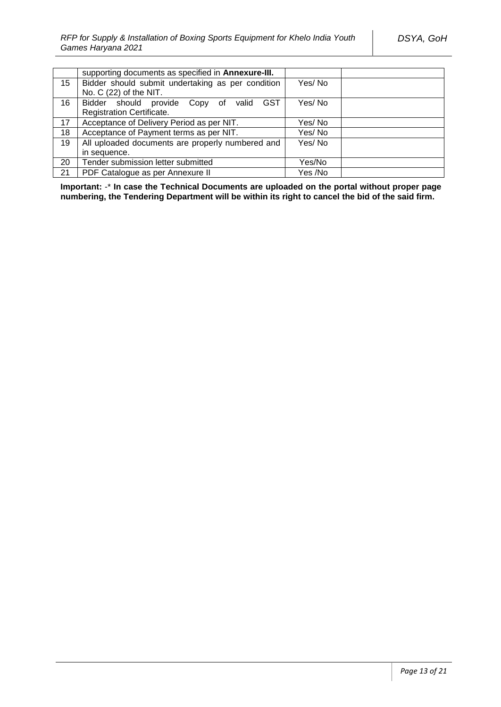|    | supporting documents as specified in <b>Annexure-III.</b> |         |  |
|----|-----------------------------------------------------------|---------|--|
| 15 | Bidder should submit undertaking as per condition         | Yes/No  |  |
|    | No. C (22) of the NIT.                                    |         |  |
| 16 | Bidder should provide Copy of valid GST                   | Yes/No  |  |
|    | <b>Registration Certificate.</b>                          |         |  |
| 17 | Acceptance of Delivery Period as per NIT.                 | Yes/ No |  |
| 18 | Acceptance of Payment terms as per NIT.                   | Yes/No  |  |
| 19 | All uploaded documents are properly numbered and          | Yes/No  |  |
|    | in sequence.                                              |         |  |
| 20 | Tender submission letter submitted                        | Yes/No  |  |
| 21 | PDF Catalogue as per Annexure II                          | Yes /No |  |

**Important:** -\* **In case the Technical Documents are uploaded on the portal without proper page numbering, the Tendering Department will be within its right to cancel the bid of the said firm.**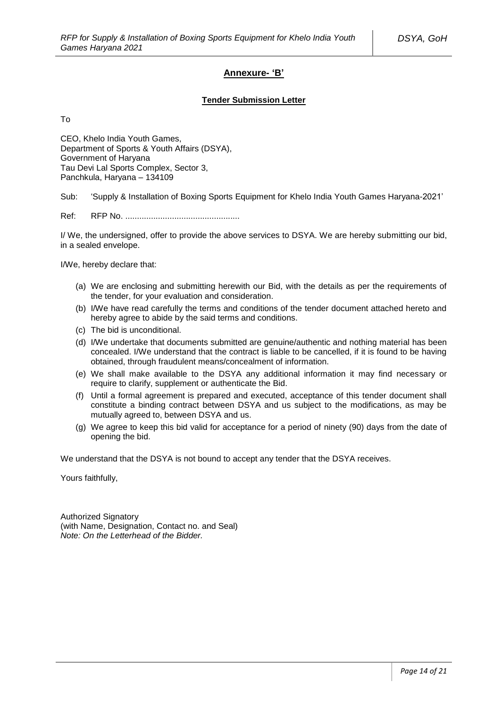### **Annexure- 'B'**

#### **Tender Submission Letter**

To

CEO, Khelo India Youth Games, Department of Sports & Youth Affairs (DSYA), Government of Haryana Tau Devi Lal Sports Complex, Sector 3, Panchkula, Haryana – 134109

Sub: 'Supply & Installation of Boxing Sports Equipment for Khelo India Youth Games Haryana-2021'

Ref: RFP No. .................................................

I/ We, the undersigned, offer to provide the above services to DSYA. We are hereby submitting our bid, in a sealed envelope.

I/We, hereby declare that:

- (a) We are enclosing and submitting herewith our Bid, with the details as per the requirements of the tender, for your evaluation and consideration.
- (b) I/We have read carefully the terms and conditions of the tender document attached hereto and hereby agree to abide by the said terms and conditions.
- (c) The bid is unconditional.
- (d) I/We undertake that documents submitted are genuine/authentic and nothing material has been concealed. I/We understand that the contract is liable to be cancelled, if it is found to be having obtained, through fraudulent means/concealment of information.
- (e) We shall make available to the DSYA any additional information it may find necessary or require to clarify, supplement or authenticate the Bid.
- (f) Until a formal agreement is prepared and executed, acceptance of this tender document shall constitute a binding contract between DSYA and us subject to the modifications, as may be mutually agreed to, between DSYA and us.
- (g) We agree to keep this bid valid for acceptance for a period of ninety (90) days from the date of opening the bid.

We understand that the DSYA is not bound to accept any tender that the DSYA receives.

Yours faithfully,

Authorized Signatory (with Name, Designation, Contact no. and Seal) *Note: On the Letterhead of the Bidder.*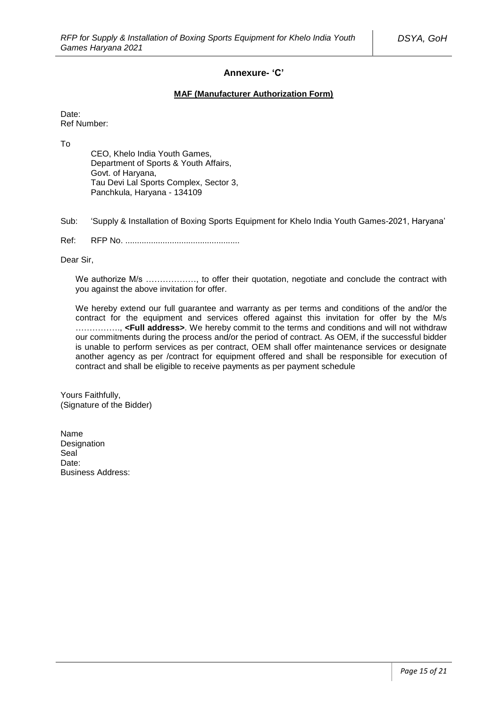### **Annexure- 'C'**

#### **MAF (Manufacturer Authorization Form)**

Date: Ref Number:

To

CEO, Khelo India Youth Games, Department of Sports & Youth Affairs, Govt. of Haryana, Tau Devi Lal Sports Complex, Sector 3, Panchkula, Haryana - 134109

Sub: 'Supply & Installation of Boxing Sports Equipment for Khelo India Youth Games-2021, Haryana'

Ref: RFP No. .................................................

Dear Sir,

We authorize M/s ................., to offer their quotation, negotiate and conclude the contract with you against the above invitation for offer.

We hereby extend our full quarantee and warranty as per terms and conditions of the and/or the contract for the equipment and services offered against this invitation for offer by the M/s ……………., **<Full address>**. We hereby commit to the terms and conditions and will not withdraw our commitments during the process and/or the period of contract. As OEM, if the successful bidder is unable to perform services as per contract, OEM shall offer maintenance services or designate another agency as per /contract for equipment offered and shall be responsible for execution of contract and shall be eligible to receive payments as per payment schedule

Yours Faithfully, (Signature of the Bidder)

Name **Designation Seal** Date: Business Address: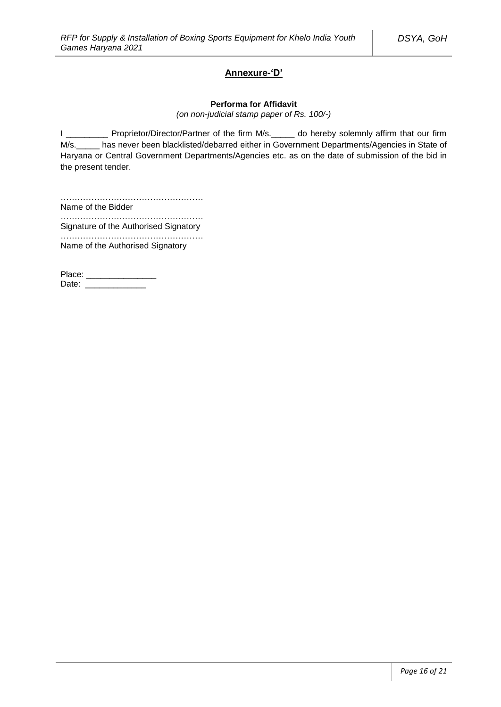### **Annexure-'D'**

#### **Performa for Affidavit**

*(on non-judicial stamp paper of Rs. 100/-)*

I \_\_\_\_\_\_\_\_\_ Proprietor/Director/Partner of the firm M/s. \_\_\_\_\_ do hereby solemnly affirm that our firm M/s.\_\_\_\_\_ has never been blacklisted/debarred either in Government Departments/Agencies in State of Haryana or Central Government Departments/Agencies etc. as on the date of submission of the bid in the present tender.

…………………………………………… Name of the Bidder

…………………………………………… Signature of the Authorised Signatory

……………………………………………

Name of the Authorised Signatory

Place: \_\_\_\_\_\_\_\_\_\_\_\_\_\_\_ Date: \_\_\_\_\_\_\_\_\_\_\_\_\_\_\_\_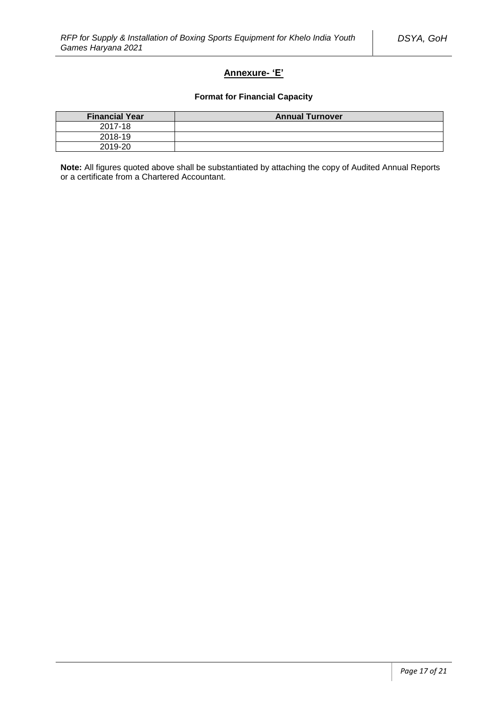# **Annexure- 'E'**

### **Format for Financial Capacity**

| <b>Financial Year</b> | <b>Annual Turnover</b> |
|-----------------------|------------------------|
| 2017-18               |                        |
| 2018-19               |                        |
| 2019-20               |                        |

**Note:** All figures quoted above shall be substantiated by attaching the copy of Audited Annual Reports or a certificate from a Chartered Accountant.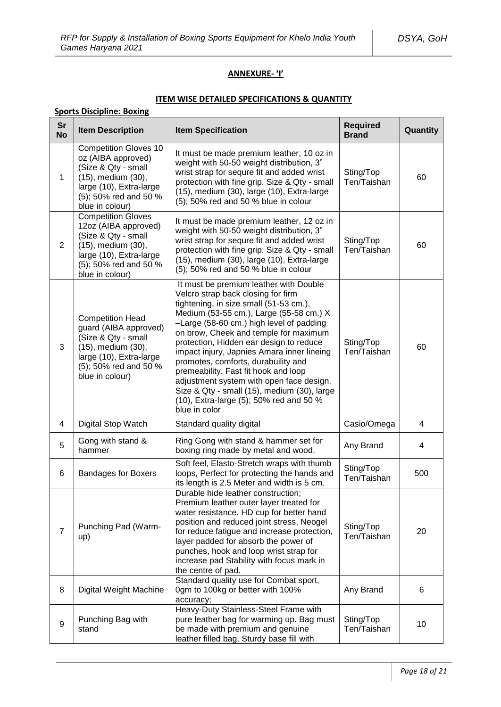### **ANNEXURE- 'I'**

### **ITEM WISE DETAILED SPECIFICATIONS & QUANTITY**

|                         | <b>Sports Discipline: Boxing</b>                                                                                                                                       |                                                                                                                                                                                                                                                                                                                                                                                                                                                                                                                                                                                       |                                 |                |  |
|-------------------------|------------------------------------------------------------------------------------------------------------------------------------------------------------------------|---------------------------------------------------------------------------------------------------------------------------------------------------------------------------------------------------------------------------------------------------------------------------------------------------------------------------------------------------------------------------------------------------------------------------------------------------------------------------------------------------------------------------------------------------------------------------------------|---------------------------------|----------------|--|
| <b>Sr</b><br><b>No</b>  | <b>Item Description</b>                                                                                                                                                | <b>Item Specification</b>                                                                                                                                                                                                                                                                                                                                                                                                                                                                                                                                                             | <b>Required</b><br><b>Brand</b> | Quantity       |  |
| 1                       | <b>Competition Gloves 10</b><br>oz (AIBA approved)<br>(Size & Qty - small<br>(15), medium (30),<br>large (10), Extra-large<br>(5); 50% red and 50 %<br>blue in colour) | It must be made premium leather, 10 oz in<br>weight with 50-50 weight distribution, 3"<br>wrist strap for sequre fit and added wrist<br>protection with fine grip. Size & Qty - small<br>(15), medium (30), large (10), Extra-large<br>(5); 50% red and 50 % blue in colour                                                                                                                                                                                                                                                                                                           | Sting/Top<br>Ten/Taishan        | 60             |  |
| $\overline{2}$          | <b>Competition Gloves</b><br>12oz (AIBA approved)<br>(Size & Qty - small<br>(15), medium (30),<br>large (10), Extra-large<br>(5); 50% red and 50 %<br>blue in colour)  | It must be made premium leather, 12 oz in<br>weight with 50-50 weight distribution, 3"<br>wrist strap for sequre fit and added wrist<br>protection with fine grip. Size & Qty - small<br>(15), medium (30), large (10), Extra-large<br>(5); 50% red and 50 % blue in colour                                                                                                                                                                                                                                                                                                           | Sting/Top<br>Ten/Taishan        | 60             |  |
| 3                       | <b>Competition Head</b><br>guard (AIBA approved)<br>(Size & Qty - small<br>(15), medium (30),<br>large (10), Extra-large<br>(5); 50% red and 50 %<br>blue in colour)   | It must be premium leather with Double<br>Velcro strap back closing for firm<br>tightening, in size small (51-53 cm.),<br>Medium (53-55 cm.), Large (55-58 cm.) X<br>-Large (58-60 cm.) high level of padding<br>on brow, Cheek and temple for maximum<br>protection, Hidden ear design to reduce<br>impact injury, Japnies Amara inner lineing<br>promotes, comforts, durabuility and<br>premeability. Fast fit hook and loop<br>adjustment system with open face design.<br>Size & Qty - small (15), medium (30), large<br>(10), Extra-large (5); 50% red and 50 %<br>blue in color | Sting/Top<br>Ten/Taishan        | 60             |  |
| $\overline{\mathbf{4}}$ | Digital Stop Watch                                                                                                                                                     | Standard quality digital                                                                                                                                                                                                                                                                                                                                                                                                                                                                                                                                                              | Casio/Omega                     | $\overline{4}$ |  |
| 5                       | Gong with stand &<br>hammer                                                                                                                                            | Ring Gong with stand & hammer set for<br>boxing ring made by metal and wood.                                                                                                                                                                                                                                                                                                                                                                                                                                                                                                          | Any Brand                       | 4              |  |
| 6                       | <b>Bandages for Boxers</b>                                                                                                                                             | Soft feel, Elasto-Stretch wraps with thumb<br>loops, Perfect for protecting the hands and<br>its length is 2.5 Meter and width is 5 cm.                                                                                                                                                                                                                                                                                                                                                                                                                                               | Sting/Top<br>Ten/Taishan        | 500            |  |
| $\overline{7}$          | Punching Pad (Warm-<br>up)                                                                                                                                             | Durable hide leather construction;<br>Premium leather outer layer treated for<br>water resistance. HD cup for better hand<br>position and reduced joint stress, Neogel<br>for reduce fatigue and increase protection,<br>layer padded for absorb the power of<br>punches, hook and loop wrist strap for<br>increase pad Stability with focus mark in<br>the centre of pad.                                                                                                                                                                                                            | Sting/Top<br>Ten/Taishan        | 20             |  |
| 8                       | Digital Weight Machine                                                                                                                                                 | Standard quality use for Combat sport,<br>0gm to 100kg or better with 100%<br>accuracy;                                                                                                                                                                                                                                                                                                                                                                                                                                                                                               | Any Brand                       | 6              |  |
| $\boldsymbol{9}$        | Punching Bag with<br>stand                                                                                                                                             | Heavy-Duty Stainless-Steel Frame with<br>pure leather bag for warming up. Bag must<br>be made with premium and genuine<br>leather filled bag. Sturdy base fill with                                                                                                                                                                                                                                                                                                                                                                                                                   | Sting/Top<br>Ten/Taishan        | 10             |  |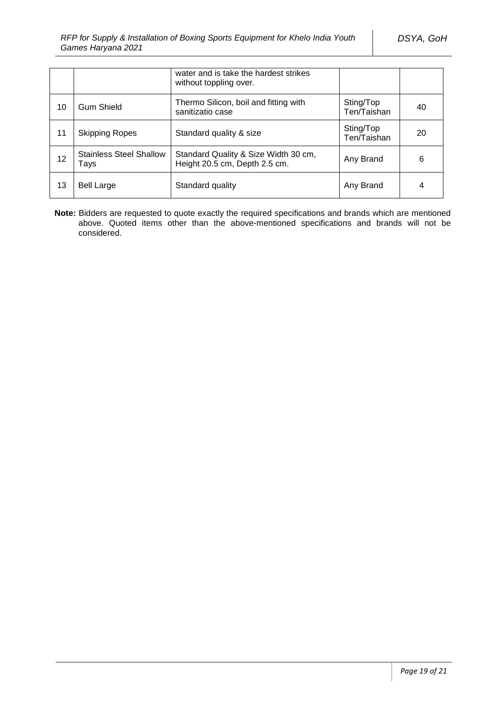|    |                                        | water and is take the hardest strikes<br>without toppling over.       |                          |    |
|----|----------------------------------------|-----------------------------------------------------------------------|--------------------------|----|
| 10 | <b>Gum Shield</b>                      | Thermo Silicon, boil and fitting with<br>sanitizatio case             | Sting/Top<br>Ten/Taishan | 40 |
| 11 | <b>Skipping Ropes</b>                  | Standard quality & size                                               | Sting/Top<br>Ten/Taishan | 20 |
| 12 | <b>Stainless Steel Shallow</b><br>Tays | Standard Quality & Size Width 30 cm,<br>Height 20.5 cm, Depth 2.5 cm. | Any Brand                | 6  |
| 13 | <b>Bell Large</b>                      | Standard quality                                                      | Any Brand                | 4  |

**Note:** Bidders are requested to quote exactly the required specifications and brands which are mentioned above. Quoted items other than the above-mentioned specifications and brands will not be considered.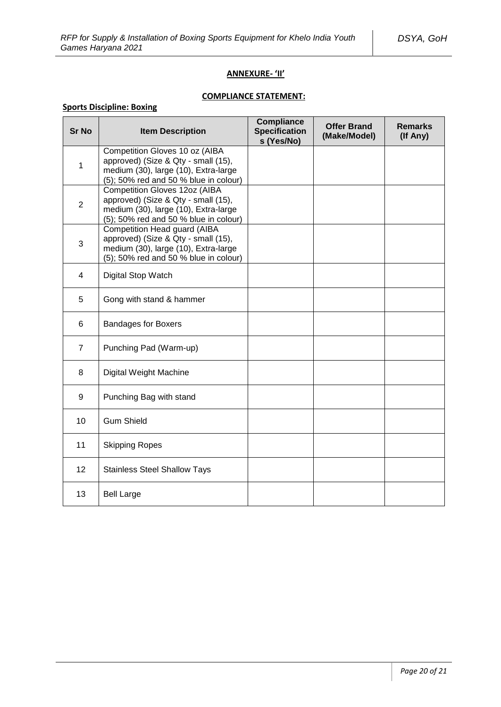### **ANNEXURE- 'II'**

### **COMPLIANCE STATEMENT:**

# **Sports Discipline: Boxing**

| <b>Sr No</b>   | <b>Item Description</b>                                                                                                                                      | <b>Compliance</b><br><b>Specification</b><br>s (Yes/No) | <b>Offer Brand</b><br>(Make/Model) | <b>Remarks</b><br>(If Any) |
|----------------|--------------------------------------------------------------------------------------------------------------------------------------------------------------|---------------------------------------------------------|------------------------------------|----------------------------|
| $\mathbf{1}$   | Competition Gloves 10 oz (AIBA<br>approved) (Size & Qty - small (15),<br>medium (30), large (10), Extra-large<br>(5); 50% red and 50 % blue in colour)       |                                                         |                                    |                            |
| $\overline{2}$ | <b>Competition Gloves 12oz (AIBA</b><br>approved) (Size & Qty - small (15),<br>medium (30), large (10), Extra-large<br>(5); 50% red and 50 % blue in colour) |                                                         |                                    |                            |
| 3              | <b>Competition Head guard (AIBA</b><br>approved) (Size & Qty - small (15),<br>medium (30), large (10), Extra-large<br>(5); 50% red and 50 % blue in colour)  |                                                         |                                    |                            |
| $\overline{4}$ | Digital Stop Watch                                                                                                                                           |                                                         |                                    |                            |
| 5              | Gong with stand & hammer                                                                                                                                     |                                                         |                                    |                            |
| 6              | <b>Bandages for Boxers</b>                                                                                                                                   |                                                         |                                    |                            |
| $\overline{7}$ | Punching Pad (Warm-up)                                                                                                                                       |                                                         |                                    |                            |
| 8              | Digital Weight Machine                                                                                                                                       |                                                         |                                    |                            |
| 9              | Punching Bag with stand                                                                                                                                      |                                                         |                                    |                            |
| 10             | <b>Gum Shield</b>                                                                                                                                            |                                                         |                                    |                            |
| 11             | <b>Skipping Ropes</b>                                                                                                                                        |                                                         |                                    |                            |
| 12             | <b>Stainless Steel Shallow Tays</b>                                                                                                                          |                                                         |                                    |                            |
| 13             | <b>Bell Large</b>                                                                                                                                            |                                                         |                                    |                            |